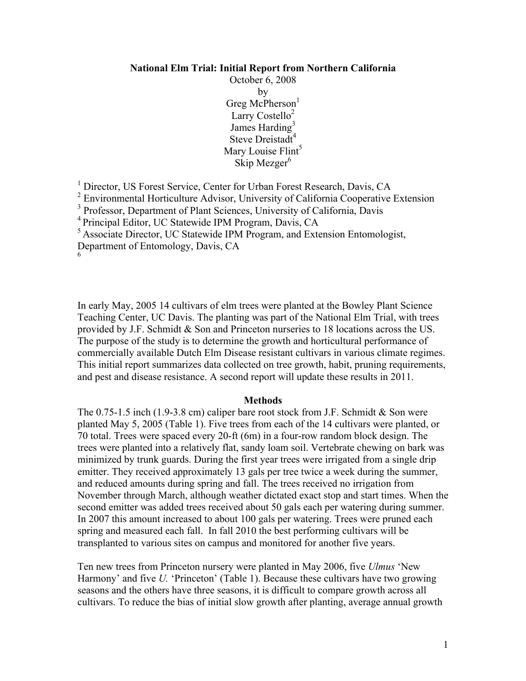#### **National Elm Trial: Initial Report from Northern California**

October 6, 2008 by Greg McPherson<sup>1</sup> Larry Costello $2$ James Harding<sup>3</sup> Steve Dreistadt<sup>4</sup> Mary Louise Flint<sup>5</sup> Skip Mezger $<sup>6</sup>$ </sup>

<sup>1</sup> Director, US Forest Service, Center for Urban Forest Research, Davis, CA

<sup>2</sup> Environmental Horticulture Advisor, University of California Cooperative Extension

<sup>3</sup> Professor, Department of Plant Sciences, University of California, Davis

<sup>5</sup> Associate Director, UC Statewide IPM Program, and Extension Entomologist,

Department of Entomology, Davis, CA 6

In early May, 2005 14 cultivars of elm trees were planted at the Bowley Plant Science Teaching Center, UC Davis. The planting was part of the National Elm Trial, with trees provided by J.F. Schmidt & Son and Princeton nurseries to 18 locations across the US. The purpose of the study is to determine the growth and horticultural performance of commercially available Dutch Elm Disease resistant cultivars in various climate regimes. This initial report summarizes data collected on tree growth, habit, pruning requirements, and pest and disease resistance. A second report will update these results in 2011.

#### **Methods**

The 0.75-1.5 inch (1.9-3.8 cm) caliper bare root stock from J.F. Schmidt & Son were planted May 5, 2005 (Table 1). Five trees from each of the 14 cultivars were planted, or 70 total. Trees were spaced every 20-ft (6m) in a four-row random block design. The trees were planted into a relatively flat, sandy loam soil. Vertebrate chewing on bark was minimized by trunk guards. During the first year trees were irrigated from a single drip emitter. They received approximately 13 gals per tree twice a week during the summer, and reduced amounts during spring and fall. The trees received no irrigation from November through March, although weather dictated exact stop and start times. When the second emitter was added trees received about 50 gals each per watering during summer. In 2007 this amount increased to about 100 gals per watering. Trees were pruned each spring and measured each fall. In fall 2010 the best performing cultivars will be transplanted to various sites on campus and monitored for another five years.

Ten new trees from Princeton nursery were planted in May 2006, five *Ulmus* 'New Harmony' and five *U*. 'Princeton' (Table 1). Because these cultivars have two growing seasons and the others have three seasons, it is difficult to compare growth across all cultivars. To reduce the bias of initial slow growth after planting, average annual growth

<sup>4</sup> Principal Editor, UC Statewide IPM Program, Davis, CA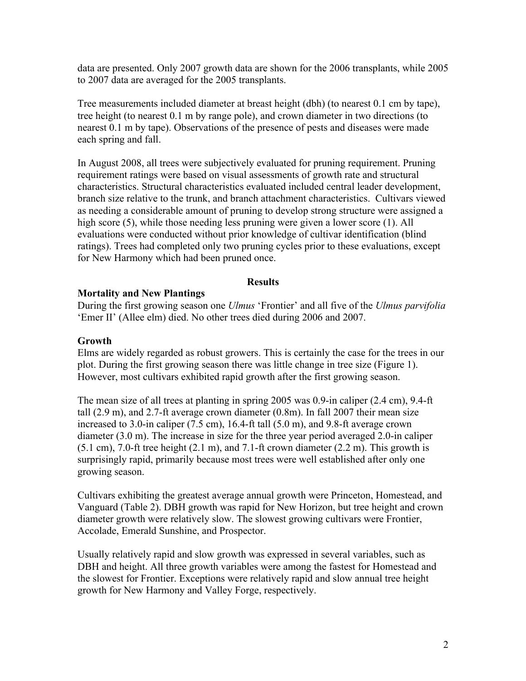data are presented. Only 2007 growth data are shown for the 2006 transplants, while 2005 to 2007 data are averaged for the 2005 transplants.

Tree measurements included diameter at breast height (dbh) (to nearest 0.1 cm by tape), tree height (to nearest 0.1 m by range pole), and crown diameter in two directions (to nearest 0.1 m by tape). Observations of the presence of pests and diseases were made each spring and fall.

In August 2008, all trees were subjectively evaluated for pruning requirement. Pruning requirement ratings were based on visual assessments of growth rate and structural characteristics. Structural characteristics evaluated included central leader development, branch size relative to the trunk, and branch attachment characteristics. Cultivars viewed as needing a considerable amount of pruning to develop strong structure were assigned a high score (5), while those needing less pruning were given a lower score (1). All evaluations were conducted without prior knowledge of cultivar identification (blind ratings). Trees had completed only two pruning cycles prior to these evaluations, except for New Harmony which had been pruned once.

## **Results**

## **Mortality and New Plantings**

During the first growing season one *Ulmus* 'Frontier' and all five of the *Ulmus parvifolia* 'Emer II' (Allee elm) died. No other trees died during 2006 and 2007.

## **Growth**

Elms are widely regarded as robust growers. This is certainly the case for the trees in our plot. During the first growing season there was little change in tree size (Figure 1). However, most cultivars exhibited rapid growth after the first growing season.

The mean size of all trees at planting in spring 2005 was 0.9-in caliper (2.4 cm), 9.4-ft tall (2.9 m), and 2.7-ft average crown diameter (0.8m). In fall 2007 their mean size increased to 3.0-in caliper (7.5 cm), 16.4-ft tall (5.0 m), and 9.8-ft average crown diameter (3.0 m). The increase in size for the three year period averaged 2.0-in caliper  $(5.1 \text{ cm})$ , 7.0-ft tree height  $(2.1 \text{ m})$ , and 7.1-ft crown diameter  $(2.2 \text{ m})$ . This growth is surprisingly rapid, primarily because most trees were well established after only one growing season.

Cultivars exhibiting the greatest average annual growth were Princeton, Homestead, and Vanguard (Table 2). DBH growth was rapid for New Horizon, but tree height and crown diameter growth were relatively slow. The slowest growing cultivars were Frontier, Accolade, Emerald Sunshine, and Prospector.

Usually relatively rapid and slow growth was expressed in several variables, such as DBH and height. All three growth variables were among the fastest for Homestead and the slowest for Frontier. Exceptions were relatively rapid and slow annual tree height growth for New Harmony and Valley Forge, respectively.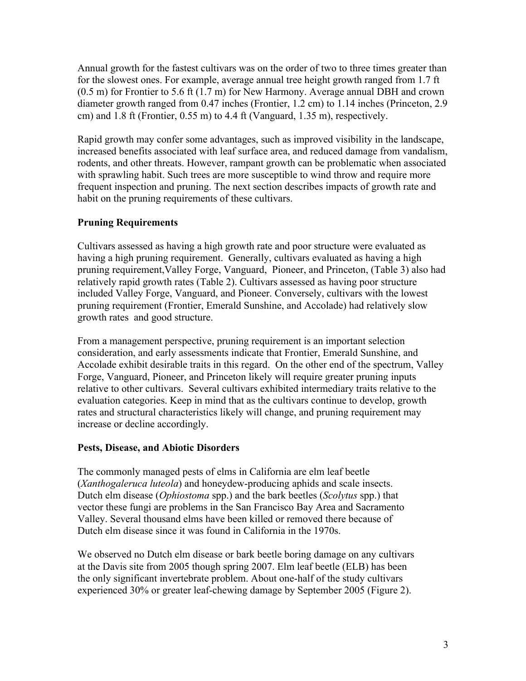Annual growth for the fastest cultivars was on the order of two to three times greater than for the slowest ones. For example, average annual tree height growth ranged from 1.7 ft (0.5 m) for Frontier to 5.6 ft (1.7 m) for New Harmony. Average annual DBH and crown diameter growth ranged from 0.47 inches (Frontier, 1.2 cm) to 1.14 inches (Princeton, 2.9 cm) and 1.8 ft (Frontier, 0.55 m) to 4.4 ft (Vanguard, 1.35 m), respectively.

Rapid growth may confer some advantages, such as improved visibility in the landscape, increased benefits associated with leaf surface area, and reduced damage from vandalism, rodents, and other threats. However, rampant growth can be problematic when associated with sprawling habit. Such trees are more susceptible to wind throw and require more frequent inspection and pruning. The next section describes impacts of growth rate and habit on the pruning requirements of these cultivars.

# **Pruning Requirements**

Cultivars assessed as having a high growth rate and poor structure were evaluated as having a high pruning requirement. Generally, cultivars evaluated as having a high pruning requirement,Valley Forge, Vanguard, Pioneer, and Princeton, (Table 3) also had relatively rapid growth rates (Table 2). Cultivars assessed as having poor structure included Valley Forge, Vanguard, and Pioneer. Conversely, cultivars with the lowest pruning requirement (Frontier, Emerald Sunshine, and Accolade) had relatively slow growth rates and good structure.

From a management perspective, pruning requirement is an important selection consideration, and early assessments indicate that Frontier, Emerald Sunshine, and Accolade exhibit desirable traits in this regard. On the other end of the spectrum, Valley Forge, Vanguard, Pioneer, and Princeton likely will require greater pruning inputs relative to other cultivars. Several cultivars exhibited intermediary traits relative to the evaluation categories. Keep in mind that as the cultivars continue to develop, growth rates and structural characteristics likely will change, and pruning requirement may increase or decline accordingly.

## **Pests, Disease, and Abiotic Disorders**

The commonly managed pests of elms in California are elm leaf beetle (*Xanthogaleruca luteola*) and honeydew-producing aphids and scale insects. Dutch elm disease (*Ophiostoma* spp.) and the bark beetles (*Scolytus* spp.) that vector these fungi are problems in the San Francisco Bay Area and Sacramento Valley. Several thousand elms have been killed or removed there because of Dutch elm disease since it was found in California in the 1970s.

We observed no Dutch elm disease or bark beetle boring damage on any cultivars at the Davis site from 2005 though spring 2007. Elm leaf beetle (ELB) has been the only significant invertebrate problem. About one-half of the study cultivars experienced 30% or greater leaf-chewing damage by September 2005 (Figure 2).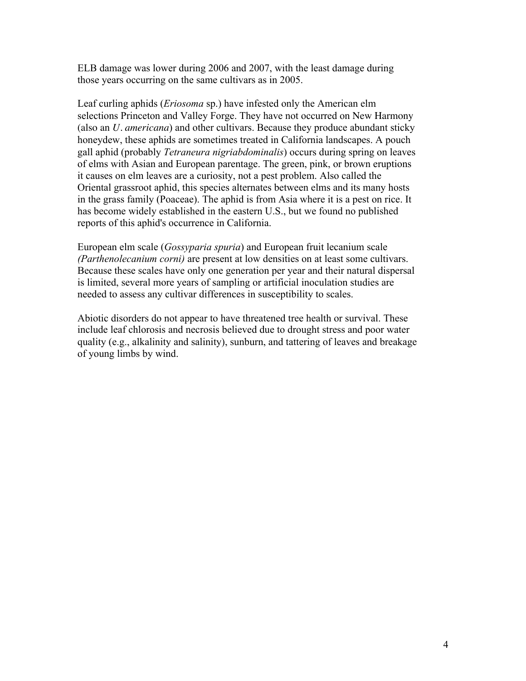ELB damage was lower during 2006 and 2007, with the least damage during those years occurring on the same cultivars as in 2005.

Leaf curling aphids (*Eriosoma* sp.) have infested only the American elm selections Princeton and Valley Forge. They have not occurred on New Harmony (also an *U. americana*) and other cultivars. Because they produce abundant sticky honeydew, these aphids are sometimes treated in California landscapes. A pouch gall aphid (probably *Tetraneura nigriabdominalis*) occurs during spring on leaves of elms with Asian and European parentage. The green, pink, or brown eruptions it causes on elm leaves are a curiosity, not a pest problem. Also called the Oriental grassroot aphid, this species alternates between elms and its many hosts in the grass family (Poaceae). The aphid is from Asia where it is a pest on rice. It has become widely established in the eastern U.S., but we found no published reports of this aphid's occurrence in California.

European elm scale (*Gossyparia spuria*) and European fruit lecanium scale *(Parthenolecanium corni)* are present at low densities on at least some cultivars. Because these scales have only one generation per year and their natural dispersal is limited, several more years of sampling or artificial inoculation studies are needed to assess any cultivar differences in susceptibility to scales.

Abiotic disorders do not appear to have threatened tree health or survival. These include leaf chlorosis and necrosis believed due to drought stress and poor water quality (e.g., alkalinity and salinity), sunburn, and tattering of leaves and breakage of young limbs by wind.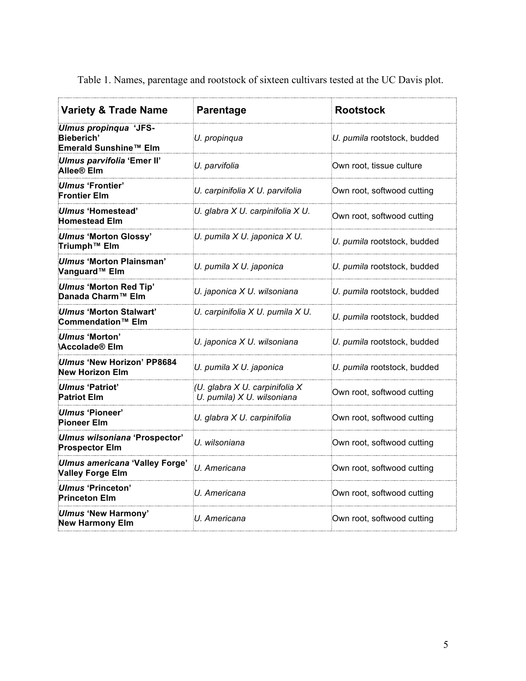| <b>Variety &amp; Trade Name</b>                              | <b>Parentage</b>                                             | <b>Rootstock</b>            |  |
|--------------------------------------------------------------|--------------------------------------------------------------|-----------------------------|--|
| Ulmus propinqua 'JFS-<br>Bieberich'<br>Emerald Sunshine™ Elm | U. propinqua                                                 | U. pumila rootstock, budded |  |
| Ulmus parvifolia 'Emer II'<br>Allee® Elm                     | U. parvifolia                                                | Own root, tissue culture    |  |
| Ulmus 'Frontier'<br><b>Frontier Elm</b>                      | U. carpinifolia X U. parvifolia                              | Own root, softwood cutting  |  |
| Ulmus 'Homestead'<br><b>Homestead Elm</b>                    | U. glabra X U. carpinifolia X U.                             | Own root, softwood cutting  |  |
| <b>Ulmus 'Morton Glossy'</b><br>Triumph™ Elm                 | U. pumila X U. japonica X U.                                 | U. pumila rootstock, budded |  |
| Ulmus 'Morton Plainsman'<br>Vanguard™ Elm                    | U. pumila X U. japonica                                      | U. pumila rootstock, budded |  |
| <b>Ulmus 'Morton Red Tip'</b><br>Danada Charm™ Elm           | U. japonica X U. wilsoniana                                  | U. pumila rootstock, budded |  |
| Ulmus 'Morton Stalwart'<br>Commendation <sup>™</sup> Elm     | U. carpinifolia X U. pumila X U.                             | U. pumila rootstock, budded |  |
| Ulmus 'Morton'<br><b>Accolade® Elm</b>                       | U. japonica X U. wilsoniana                                  | U. pumila rootstock, budded |  |
| Ulmus 'New Horizon' PP8684<br><b>New Horizon Elm</b>         | U. pumila X U. japonica                                      | U. pumila rootstock, budded |  |
| Ulmus 'Patriot'<br><b>Patriot Elm</b>                        | (U. glabra X U. carpinifolia X<br>U. pumila) X U. wilsoniana | Own root, softwood cutting  |  |
| Ulmus 'Pioneer'<br><b>Pioneer Elm</b>                        | U. glabra X U. carpinifolia                                  | Own root, softwood cutting  |  |
| Ulmus wilsoniana 'Prospector'<br><b>Prospector Elm</b>       | U. wilsoniana                                                | Own root, softwood cutting  |  |
| Ulmus americana 'Valley Forge'<br><b>Valley Forge Elm</b>    | U. Americana                                                 | Own root, softwood cutting  |  |
| Ulmus 'Princeton'<br><b>Princeton Elm</b>                    | U. Americana                                                 | Own root, softwood cutting  |  |
| <b>Ulmus 'New Harmony'</b><br><b>New Harmony Elm</b>         | U. Americana                                                 | Own root, softwood cutting  |  |

Table 1. Names, parentage and rootstock of sixteen cultivars tested at the UC Davis plot.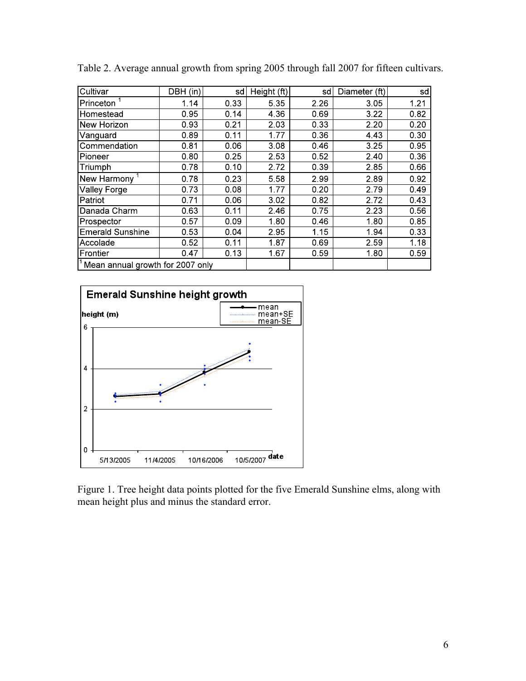| Cultivar                         | DBH (in) | sd   | Height (ft) | sd   | Diameter (ft) | sd   |
|----------------------------------|----------|------|-------------|------|---------------|------|
| Princeton                        | 1.14     | 0.33 | 5.35        | 2.26 | 3.05          | 1.21 |
| Homestead                        | 0.95     | 0.14 | 4.36        | 0.69 | 3.22          | 0.82 |
| New Horizon                      | 0.93     | 0.21 | 2.03        | 0.33 | 2.20          | 0.20 |
| Vanguard                         | 0.89     | 0.11 | 1.77        | 0.36 | 4.43          | 0.30 |
| Commendation                     | 0.81     | 0.06 | 3.08        | 0.46 | 3.25          | 0.95 |
| Pioneer                          | 0.80     | 0.25 | 2.53        | 0.52 | 2.40          | 0.36 |
| Triumph                          | 0.78     | 0.10 | 2.72        | 0.39 | 2.85          | 0.66 |
| New Harmony <sup>1</sup>         | 0.78     | 0.23 | 5.58        | 2.99 | 2.89          | 0.92 |
| Valley Forge                     | 0.73     | 0.08 | 1.77        | 0.20 | 2.79          | 0.49 |
| Patriot                          | 0.71     | 0.06 | 3.02        | 0.82 | 2.72          | 0.43 |
| Danada Charm                     | 0.63     | 0.11 | 2.46        | 0.75 | 2.23          | 0.56 |
| Prospector                       | 0.57     | 0.09 | 1.80        | 0.46 | 1.80          | 0.85 |
| <b>Emerald Sunshine</b>          | 0.53     | 0.04 | 2.95        | 1.15 | 1.94          | 0.33 |
| Accolade                         | 0.52     | 0.11 | 1.87        | 0.69 | 2.59          | 1.18 |
| Frontier                         | 0.47     | 0.13 | 1.67        | 0.59 | 1.80          | 0.59 |
| Mean annual growth for 2007 only |          |      |             |      |               |      |

Table 2. Average annual growth from spring 2005 through fall 2007 for fifteen cultivars.



Figure 1. Tree height data points plotted for the five Emerald Sunshine elms, along with mean height plus and minus the standard error.